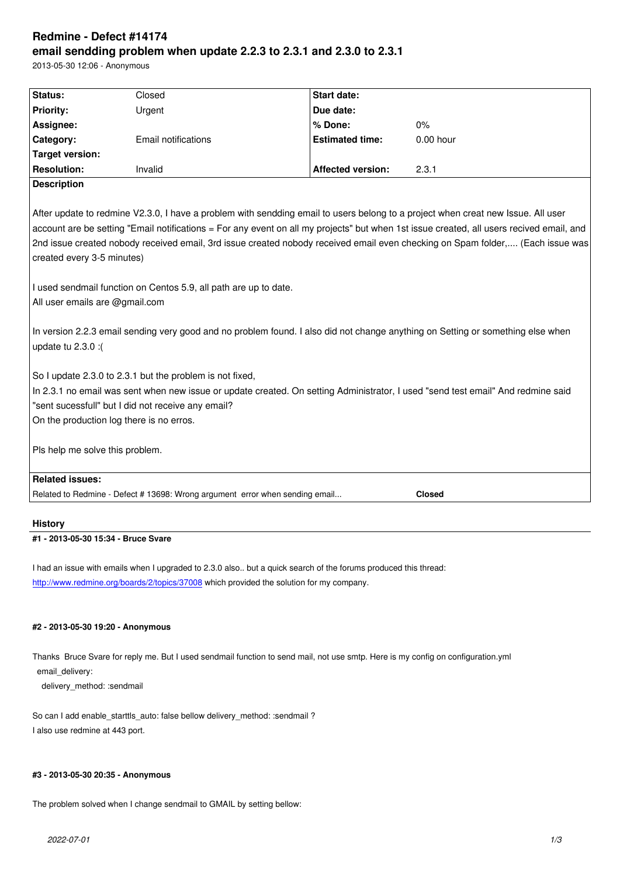#### **email sendding problem when update 2.2.3 to 2.3.1 and 2.3.0 to 2.3.1**

2013-05-30 12:06 - Anonymous

| Status:                         | Closed                                                                                                                                                     | <b>Start date:</b>       |                                                                                                                                                                                                                                                                                                                                                                                                                |
|---------------------------------|------------------------------------------------------------------------------------------------------------------------------------------------------------|--------------------------|----------------------------------------------------------------------------------------------------------------------------------------------------------------------------------------------------------------------------------------------------------------------------------------------------------------------------------------------------------------------------------------------------------------|
| <b>Priority:</b>                | Urgent                                                                                                                                                     | Due date:                |                                                                                                                                                                                                                                                                                                                                                                                                                |
| Assignee:                       |                                                                                                                                                            | % Done:                  | 0%                                                                                                                                                                                                                                                                                                                                                                                                             |
| Category:                       | <b>Email notifications</b>                                                                                                                                 | <b>Estimated time:</b>   | $0.00$ hour                                                                                                                                                                                                                                                                                                                                                                                                    |
| <b>Target version:</b>          |                                                                                                                                                            |                          |                                                                                                                                                                                                                                                                                                                                                                                                                |
| <b>Resolution:</b>              | Invalid                                                                                                                                                    | <b>Affected version:</b> | 2.3.1                                                                                                                                                                                                                                                                                                                                                                                                          |
| <b>Description</b>              |                                                                                                                                                            |                          |                                                                                                                                                                                                                                                                                                                                                                                                                |
| created every 3-5 minutes)      |                                                                                                                                                            |                          | After update to redmine V2.3.0, I have a problem with sendding email to users belong to a project when creat new Issue. All user<br>account are be setting "Email notifications = For any event on all my projects" but when 1st issue created, all users recived email, and<br>2nd issue created nobody received email, 3rd issue created nobody received email even checking on Spam folder, (Each issue was |
| All user emails are @gmail.com  | I used sendmail function on Centos 5.9, all path are up to date.                                                                                           |                          |                                                                                                                                                                                                                                                                                                                                                                                                                |
| update tu 2.3.0 :(              |                                                                                                                                                            |                          | In version 2.2.3 email sending very good and no problem found. I also did not change anything on Setting or something else when                                                                                                                                                                                                                                                                                |
|                                 | So I update 2.3.0 to 2.3.1 but the problem is not fixed,<br>"sent sucessfull" but I did not receive any email?<br>On the production log there is no erros. |                          | In 2.3.1 no email was sent when new issue or update created. On setting Administrator, I used "send test email" And redmine said                                                                                                                                                                                                                                                                               |
| Pls help me solve this problem. |                                                                                                                                                            |                          |                                                                                                                                                                                                                                                                                                                                                                                                                |
| <b>Related issues:</b>          |                                                                                                                                                            |                          |                                                                                                                                                                                                                                                                                                                                                                                                                |
|                                 | Related to Redmine - Defect # 13698: Wrong argument error when sending email                                                                               |                          | <b>Closed</b>                                                                                                                                                                                                                                                                                                                                                                                                  |

# **History**

# **#1 - 2013-05-30 15:34 - Bruce Svare**

I had an issue with emails when I upgraded to 2.3.0 also.. but a quick search of the forums produced this thread: http://www.redmine.org/boards/2/topics/37008 which provided the solution for my company.

### **[#2 - 2013-05-30 19:20 - Anonymous](http://www.redmine.org/boards/2/topics/37008)**

Thanks Bruce Svare for reply me. But I used sendmail function to send mail, not use smtp. Here is my config on configuration.yml email\_delivery:

delivery\_method: :sendmail

So can I add enable\_starttls\_auto: false bellow delivery\_method: :sendmail ? I also use redmine at 443 port.

# **#3 - 2013-05-30 20:35 - Anonymous**

The problem solved when I change sendmail to GMAIL by setting bellow: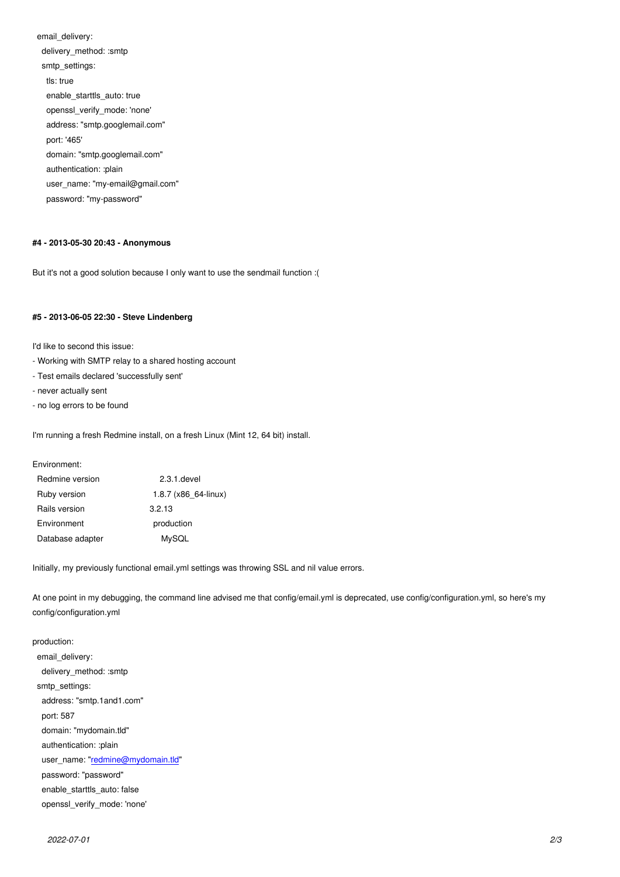delivery\_method: :smtp smtp\_settings: tls: true enable\_starttls\_auto: true openssl\_verify\_mode: 'none' address: "smtp.googlemail.com" port: '465' domain: "smtp.googlemail.com" authentication: :plain user\_name: "my-email@gmail.com" password: "my-password"

### **#4 - 2013-05-30 20:43 - Anonymous**

But it's not a good solution because I only want to use the sendmail function :(

#### **#5 - 2013-06-05 22:30 - Steve Lindenberg**

I'd like to second this issue:

- Working with SMTP relay to a shared hosting account
- Test emails declared 'successfully sent'
- never actually sent
- no log errors to be found

I'm running a fresh Redmine install, on a fresh Linux (Mint 12, 64 bit) install.

Environment:

| Redmine version  | $2.3.1$ .devel       |  |
|------------------|----------------------|--|
| Ruby version     | 1.8.7 (x86 64-linux) |  |
| Rails version    | 3.2.13               |  |
| Environment      | production           |  |
| Database adapter | MySQL                |  |

Initially, my previously functional email.yml settings was throwing SSL and nil value errors.

At one point in my debugging, the command line advised me that config/email.yml is deprecated, use config/configuration.yml, so here's my config/configuration.yml

production: email\_delivery: delivery\_method: :smtp smtp\_settings: address: "smtp.1and1.com" port: 587 domain: "mydomain.tld" authentication: :plain user\_name: "redmine@mydomain.tld" password: "password" enable\_starttls\_auto: false openssl\_veri[fy\\_mode:](mailto:redmine@mydomain.tld) '[none](mailto:redmine@mydomain.tld)'